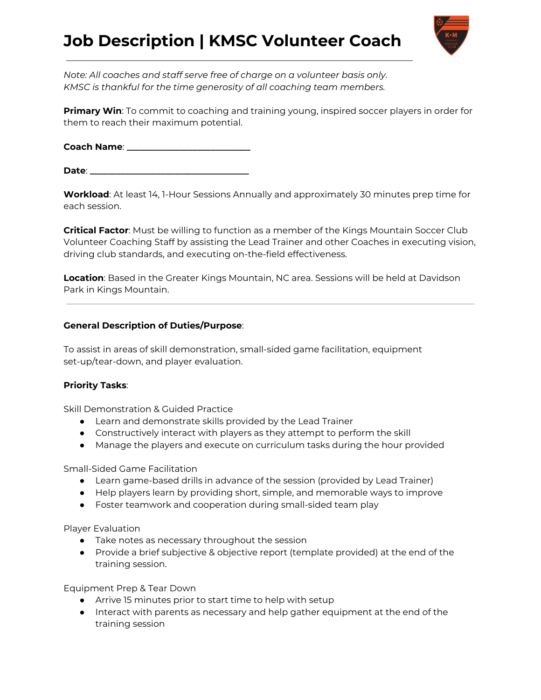# **Job Description | KMSC Volunteer Coach**



*Note: All coaches and staff serve free of charge on a volunteer basis only. KMSC is thankful for the time generosity of all coaching team members.*

**Primary Win**: To commit to coaching and training young, inspired soccer players in order for them to reach their maximum potential.

**Coach Name**: **\_\_\_\_\_\_\_\_\_\_\_\_\_\_\_\_\_\_\_\_\_\_\_\_\_\_\_\_**

**Date**: **\_\_\_\_\_\_\_\_\_\_\_\_\_\_\_\_\_\_\_\_\_\_\_\_\_\_\_\_\_\_\_\_\_\_\_\_**

**Workload**: At least 14, 1-Hour Sessions Annually and approximately 30 minutes prep time for each session.

**Critical Factor**: Must be willing to function as a member of the Kings Mountain Soccer Club Volunteer Coaching Staff by assisting the Lead Trainer and other Coaches in executing vision, driving club standards, and executing on-the-field effectiveness.

**Location**: Based in the Greater Kings Mountain, NC area. Sessions will be held at Davidson Park in Kings Mountain.

## **General Description of Duties/Purpose**:

To assist in areas of skill demonstration, small-sided game facilitation, equipment set-up/tear-down, and player evaluation.

#### **Priority Tasks**:

Skill Demonstration & Guided Practice

- Learn and demonstrate skills provided by the Lead Trainer
- Constructively interact with players as they attempt to perform the skill
- Manage the players and execute on curriculum tasks during the hour provided

Small-Sided Game Facilitation

- Learn game-based drills in advance of the session (provided by Lead Trainer)
- Help players learn by providing short, simple, and memorable ways to improve
- Foster teamwork and cooperation during small-sided team play

Player Evaluation

- Take notes as necessary throughout the session
- Provide a brief subjective & objective report (template provided) at the end of the training session.

Equipment Prep & Tear Down

- Arrive 15 minutes prior to start time to help with setup
- Interact with parents as necessary and help gather equipment at the end of the training session